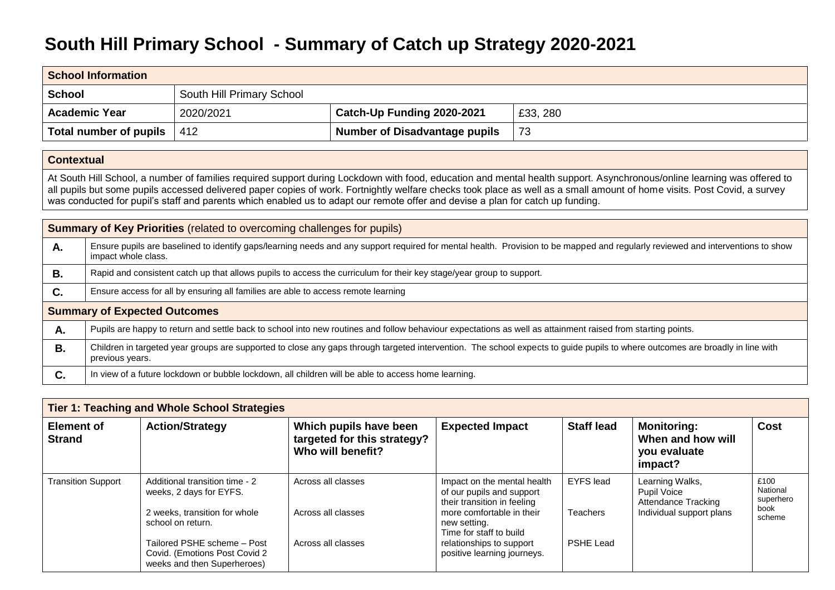## **South Hill Primary School - Summary of Catch up Strategy 2020-2021**

|                                                                                                                                                                                                                                                                                                                                                                                                                                                                                       | <b>School Information</b>                                                                                                                                                                              |                           |                                      |          |  |  |  |
|---------------------------------------------------------------------------------------------------------------------------------------------------------------------------------------------------------------------------------------------------------------------------------------------------------------------------------------------------------------------------------------------------------------------------------------------------------------------------------------|--------------------------------------------------------------------------------------------------------------------------------------------------------------------------------------------------------|---------------------------|--------------------------------------|----------|--|--|--|
| <b>School</b>                                                                                                                                                                                                                                                                                                                                                                                                                                                                         |                                                                                                                                                                                                        | South Hill Primary School |                                      |          |  |  |  |
| <b>Academic Year</b>                                                                                                                                                                                                                                                                                                                                                                                                                                                                  |                                                                                                                                                                                                        | 2020/2021                 | Catch-Up Funding 2020-2021           | £33, 280 |  |  |  |
| Total number of pupils                                                                                                                                                                                                                                                                                                                                                                                                                                                                |                                                                                                                                                                                                        | 412                       | <b>Number of Disadvantage pupils</b> | 73       |  |  |  |
|                                                                                                                                                                                                                                                                                                                                                                                                                                                                                       |                                                                                                                                                                                                        |                           |                                      |          |  |  |  |
| <b>Contextual</b>                                                                                                                                                                                                                                                                                                                                                                                                                                                                     |                                                                                                                                                                                                        |                           |                                      |          |  |  |  |
| At South Hill School, a number of families required support during Lockdown with food, education and mental health support. Asynchronous/online learning was offered to<br>all pupils but some pupils accessed delivered paper copies of work. Fortnightly welfare checks took place as well as a small amount of home visits. Post Covid, a survey<br>was conducted for pupil's staff and parents which enabled us to adapt our remote offer and devise a plan for catch up funding. |                                                                                                                                                                                                        |                           |                                      |          |  |  |  |
| <b>Summary of Key Priorities</b> (related to overcoming challenges for pupils)                                                                                                                                                                                                                                                                                                                                                                                                        |                                                                                                                                                                                                        |                           |                                      |          |  |  |  |
| Α.                                                                                                                                                                                                                                                                                                                                                                                                                                                                                    | Ensure pupils are baselined to identify gaps/learning needs and any support required for mental health. Provision to be mapped and regularly reviewed and interventions to show<br>impact whole class. |                           |                                      |          |  |  |  |
| <b>B.</b>                                                                                                                                                                                                                                                                                                                                                                                                                                                                             | Rapid and consistent catch up that allows pupils to access the curriculum for their key stage/year group to support.                                                                                   |                           |                                      |          |  |  |  |
| $\mathbf{C}$ .                                                                                                                                                                                                                                                                                                                                                                                                                                                                        | Ensure access for all by ensuring all families are able to access remote learning                                                                                                                      |                           |                                      |          |  |  |  |
| <b>Summary of Expected Outcomes</b>                                                                                                                                                                                                                                                                                                                                                                                                                                                   |                                                                                                                                                                                                        |                           |                                      |          |  |  |  |
| Α.                                                                                                                                                                                                                                                                                                                                                                                                                                                                                    | Pupils are happy to return and settle back to school into new routines and follow behaviour expectations as well as attainment raised from starting points.                                            |                           |                                      |          |  |  |  |
| <b>B.</b>                                                                                                                                                                                                                                                                                                                                                                                                                                                                             | Children in targeted year groups are supported to close any gaps through targeted intervention. The school expects to guide pupils to where outcomes are broadly in line with<br>previous years.       |                           |                                      |          |  |  |  |
| C.                                                                                                                                                                                                                                                                                                                                                                                                                                                                                    | In view of a future lockdown or bubble lockdown, all children will be able to access home learning.                                                                                                    |                           |                                      |          |  |  |  |

| <b>Tier 1: Teaching and Whole School Strategies</b> |                                                                                                                   |                                                                            |                                                                                                                      |                       |                                                                                          |                                                 |  |
|-----------------------------------------------------|-------------------------------------------------------------------------------------------------------------------|----------------------------------------------------------------------------|----------------------------------------------------------------------------------------------------------------------|-----------------------|------------------------------------------------------------------------------------------|-------------------------------------------------|--|
| <b>Element of</b><br><b>Strand</b>                  | <b>Action/Strategy</b>                                                                                            | Which pupils have been<br>targeted for this strategy?<br>Who will benefit? | <b>Expected Impact</b>                                                                                               | <b>Staff lead</b>     | <b>Monitoring:</b><br>When and how will<br>you evaluate<br>impact?                       | Cost                                            |  |
| <b>Transition Support</b>                           | Additional transition time - 2<br>weeks, 2 days for EYFS.<br>2 weeks, transition for whole                        | Across all classes<br>Across all classes                                   | Impact on the mental health<br>of our pupils and support<br>their transition in feeling<br>more comfortable in their | EYFS lead<br>Teachers | Learning Walks,<br>Pupil Voice<br><b>Attendance Tracking</b><br>Individual support plans | £100<br>National<br>superhero<br>book<br>scheme |  |
|                                                     | school on return.<br>Tailored PSHE scheme - Post<br>Covid. (Emotions Post Covid 2)<br>weeks and then Superheroes) | Across all classes                                                         | new setting.<br>Time for staff to build<br>relationships to support<br>positive learning journeys.                   | <b>PSHE Lead</b>      |                                                                                          |                                                 |  |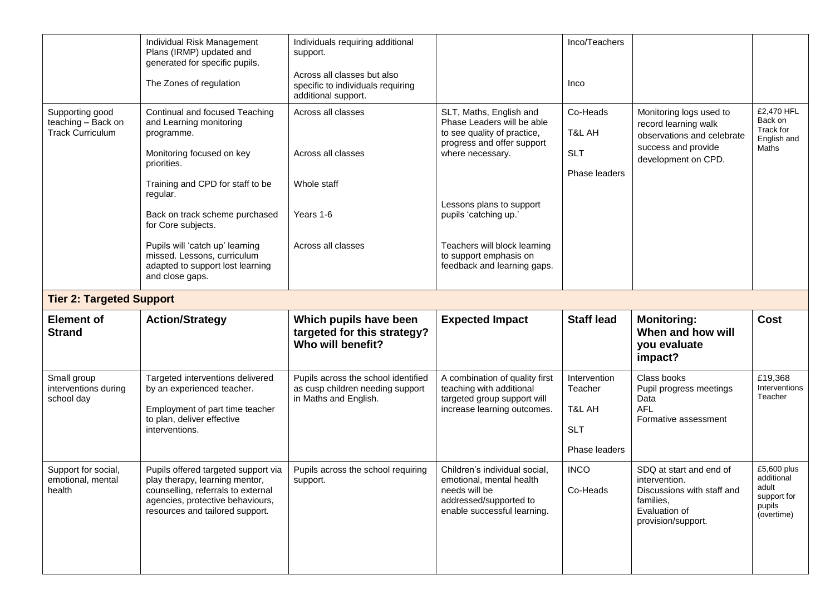|                                                                  | Individual Risk Management<br>Plans (IRMP) updated and<br>generated for specific pupils.<br>The Zones of regulation                                                                                                                                                                                                                                  | Individuals requiring additional<br>support.<br>Across all classes but also<br>specific to individuals requiring<br>additional support. |                                                                                                                                                                                                                                                                                      | Inco/Teachers<br>Inco                                            |                                                                                                                             |                                                            |  |  |
|------------------------------------------------------------------|------------------------------------------------------------------------------------------------------------------------------------------------------------------------------------------------------------------------------------------------------------------------------------------------------------------------------------------------------|-----------------------------------------------------------------------------------------------------------------------------------------|--------------------------------------------------------------------------------------------------------------------------------------------------------------------------------------------------------------------------------------------------------------------------------------|------------------------------------------------------------------|-----------------------------------------------------------------------------------------------------------------------------|------------------------------------------------------------|--|--|
| Supporting good<br>teaching - Back on<br><b>Track Curriculum</b> | Continual and focused Teaching<br>and Learning monitoring<br>programme.<br>Monitoring focused on key<br>priorities.<br>Training and CPD for staff to be<br>regular.<br>Back on track scheme purchased<br>for Core subjects.<br>Pupils will 'catch up' learning<br>missed. Lessons, curriculum<br>adapted to support lost learning<br>and close gaps. | Across all classes<br>Across all classes<br>Whole staff<br>Years 1-6<br>Across all classes                                              | SLT, Maths, English and<br>Phase Leaders will be able<br>to see quality of practice,<br>progress and offer support<br>where necessary.<br>Lessons plans to support<br>pupils 'catching up.'<br>Teachers will block learning<br>to support emphasis on<br>feedback and learning gaps. | Co-Heads<br>T&L AH<br><b>SLT</b><br><b>Phase leaders</b>         | Monitoring logs used to<br>record learning walk<br>observations and celebrate<br>success and provide<br>development on CPD. | £2,470 HFL<br>Back on<br>Track for<br>English and<br>Maths |  |  |
| <b>Tier 2: Targeted Support</b>                                  |                                                                                                                                                                                                                                                                                                                                                      |                                                                                                                                         |                                                                                                                                                                                                                                                                                      |                                                                  |                                                                                                                             |                                                            |  |  |
|                                                                  |                                                                                                                                                                                                                                                                                                                                                      |                                                                                                                                         |                                                                                                                                                                                                                                                                                      |                                                                  |                                                                                                                             |                                                            |  |  |
| <b>Element of</b><br><b>Strand</b>                               | <b>Action/Strategy</b>                                                                                                                                                                                                                                                                                                                               | Which pupils have been<br>targeted for this strategy?<br>Who will benefit?                                                              | <b>Expected Impact</b>                                                                                                                                                                                                                                                               | <b>Staff lead</b>                                                | <b>Monitoring:</b><br>When and how will<br>you evaluate<br>impact?                                                          | <b>Cost</b>                                                |  |  |
| Small group<br>interventions during<br>school day                | Targeted interventions delivered<br>by an experienced teacher.<br>Employment of part time teacher<br>to plan, deliver effective<br>interventions.                                                                                                                                                                                                    | Pupils across the school identified<br>as cusp children needing support<br>in Maths and English.                                        | A combination of quality first<br>teaching with additional<br>targeted group support will<br>increase learning outcomes.                                                                                                                                                             | Intervention<br>Teacher<br>T&L AH<br><b>SLT</b><br>Phase leaders | Class books<br>Pupil progress meetings<br>Data<br><b>AFL</b><br>Formative assessment                                        | £19,368<br>Interventions<br>Teacher                        |  |  |